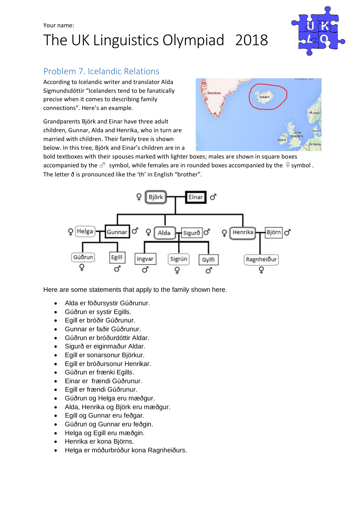# Your name: The UK Linguistics Olympiad 2018



## Problem 7. Icelandic Relations

According to Icelandic writer and translator Alda Sigmundsdóttir "Icelanders tend to be fanatically precise when it comes to describing family connections". Here's an example.

Grandparents Björk and Einar have three adult children, Gunnar, Alda and Henrika, who in turn are married with children. Their family tree is shown below. In this tree, Björk and Einar's children are in a



bold textboxes with their spouses marked with lighter boxes; males are shown in square boxes accompanied by the  $\sigma$  symbol, while females are in rounded boxes accompanied by the  $\varphi$  symbol. The letter ð is pronounced like the 'th' in English "brother".



Here are some statements that apply to the family shown here.

- Alda er föðursystir Gúðrunur.
- Gúðrun er systir Egills.
- Egill er bróðir Gúðrunur.
- Gunnar er faðir Gúðrunur.
- Gúðrun er bróðurdóttir Aldar.
- Sigurð er eiginmaður Aldar.
- Egill er sonarsonur Björkur.
- Egill er bróðursonur Henrikar.
- Gúðrun er frænki Egills.
- Einar er frændi Gúðrunur.
- Egill er frændi Gúðrunur.
- Gúðrun og Helga eru mæðgur.
- Alda, Henrika og Björk eru mæðgur.
- Egill og Gunnar eru feðgar.
- Gúðrun og Gunnar eru feðgin.
- Helga og Egill eru mæðgin.
- Henrika er kona Björns.
- Helga er móðurbróður kona Ragnheiðurs.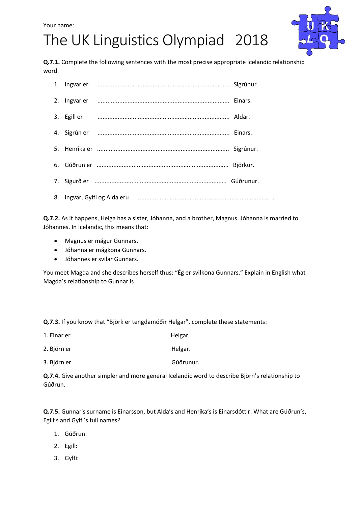# The UK Linguistics Olympiad 2018



**Q.7.1.** Complete the following sentences with the most precise appropriate Icelandic relationship word.

**Q.7.2.** As it happens, Helga has a sister, Jóhanna, and a brother, Magnus. Jóhanna is married to Jóhannes. In Icelandic, this means that:

- Magnus er mágur Gunnars.
- Jóhanna er mágkona Gunnars.
- Jóhannes er svilar Gunnars.

You meet Magda and she describes herself thus: "Ég er svilkona Gunnars." Explain in English what Magda's relationship to Gunnar is.

**Q.7.3.** If you know that "Björk er tengdamóðir Helgar", complete these statements:

| 1. Einar er | Helgar. |
|-------------|---------|
| 2. Björn er | Helgar. |

3. Björn er Gúðrunur.

**Q.7.4.** Give another simpler and more general Icelandic word to describe Björn's relationship to Gúðrun.

**Q.7.5.** Gunnar's surname is Einarsson, but Alda's and Henrika's is Einarsdóttir. What are Gúðrun's, Egill's and Gylfi's full names?

- 1. Gúðrun:
- 2. Egill:
- 3. Gylfi: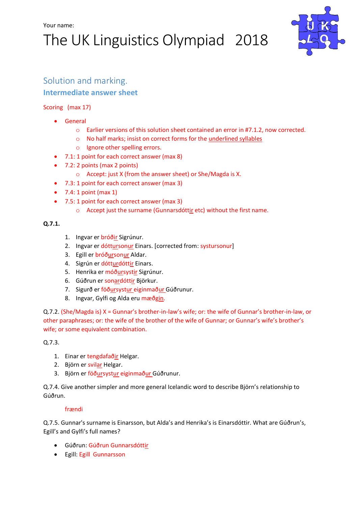# The UK Linguistics Olympiad 2018



## Solution and marking.

### **Intermediate answer sheet**

### Scoring (max 17)

- General
	- o Earlier versions of this solution sheet contained an error in #7.1.2, now corrected.
	- o No half marks; insist on correct forms for the underlined syllables
	- o Ignore other spelling errors.
- 7.1: 1 point for each correct answer (max 8)
- 7.2: 2 points (max 2 points)
	- o Accept: just X (from the answer sheet) or She/Magda is X.
- 7.3: 1 point for each correct answer (max 3)
- $\bullet$  7.4: 1 point (max 1)
- 7.5: 1 point for each correct answer (max 3)
	- $\circ$  Accept just the surname (Gunnarsdóttir etc) without the first name.

### **Q.7.1.**

- 1. Ingvar er bróðir Sigrúnur.
- 2. Ingvar er dóttursonur Einars. [corrected from: systursonur]
- 3. Egill er bróðursonur Aldar.
- 4. Sigrún er dótturdóttir Einars.
- 5. Henrika er móðursystir Sigrúnur.
- 6. Gúðrun er sonardóttir Björkur.
- 7. Sigurð er föðursystur eiginmaður Gúðrunur.
- 8. Ingvar, Gylfi og Alda eru mæðgin.

Q.7.2. (She/Magda is) X = Gunnar's brother-in-law's wife; or: the wife of Gunnar's brother-in-law, or other paraphrases; or: the wife of the brother of the wife of Gunnar; or Gunnar's wife's brother's wife; or some equivalent combination.

Q.7.3.

- 1. Einar er tengdafaðir Helgar.
- 2. Björn er svilar Helgar.
- 3. Björn er föðursystur eiginmaður Gúðrunur.

Q.7.4. Give another simpler and more general Icelandic word to describe Björn's relationship to Gúðrun.

### frændi

Q.7.5. Gunnar's surname is Einarsson, but Alda's and Henrika's is Einarsdóttir. What are Gúðrun's, Egill's and Gylfi's full names?

- **•** Gúðrun: Gúðrun Gunnarsdóttir
- Egill: Egill Gunnarsson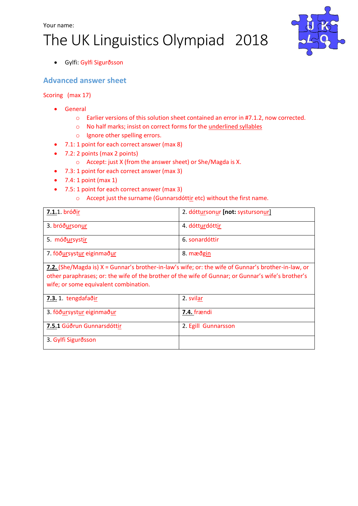### Your name:

# The UK Linguistics Olympiad 2018



Gylfi: Gylfi Sigurðsson

### **Advanced answer sheet**

Scoring (max 17)

- **•** General
	- o Earlier versions of this solution sheet contained an error in #7.1.2, now corrected.
	- o No half marks; insist on correct forms for the underlined syllables
	- o Ignore other spelling errors.
- 7.1: 1 point for each correct answer (max 8)
- 7.2: 2 points (max 2 points)
	- o Accept: just X (from the answer sheet) or She/Magda is X.
- 7.3: 1 point for each correct answer (max 3)
- $\bullet$  7.4: 1 point (max 1)
- 7.5: 1 point for each correct answer (max 3)
	- o Accept just the surname (Gunnarsdóttir etc) without the first name.

| 7.1.1. bróðir                                                                                                                                                                                                                                      | 2. dóttursonur [not: systursonur] |  |
|----------------------------------------------------------------------------------------------------------------------------------------------------------------------------------------------------------------------------------------------------|-----------------------------------|--|
| 3. bróðursonur                                                                                                                                                                                                                                     | 4. dótturdóttir                   |  |
| 5. móðursystir                                                                                                                                                                                                                                     | 6. sonardóttir                    |  |
| 7. föðursystur eiginmaður                                                                                                                                                                                                                          | 8. mæðgin                         |  |
| 7.2. (She/Magda is) X = Gunnar's brother-in-law's wife; or: the wife of Gunnar's brother-in-law, or<br>other paraphrases; or: the wife of the brother of the wife of Gunnar; or Gunnar's wife's brother's<br>wife; or some equivalent combination. |                                   |  |
| 7.3.1. tengdafaðir                                                                                                                                                                                                                                 | 2. svilar                         |  |
| 3. föðursystur eiginmaður                                                                                                                                                                                                                          | 7.4. frændi                       |  |
| 7.5.1 Gúðrun Gunnarsdóttir                                                                                                                                                                                                                         | 2. Egill Gunnarsson               |  |
| 3. Gylfi Sigurðsson                                                                                                                                                                                                                                |                                   |  |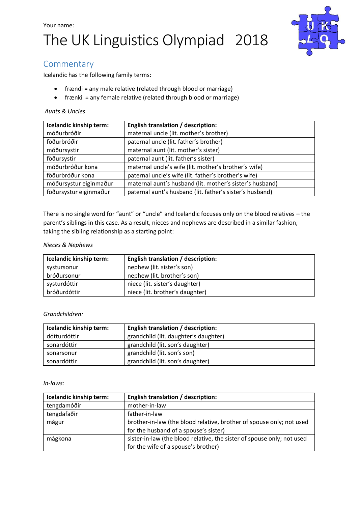# Your name: The UK Linguistics Olympiad 2018



## **Commentary**

Icelandic has the following family terms:

- frændi = any male relative (related through blood or marriage)
- frænki = any female relative (related through blood or marriage)

### *Aunts & Uncles*

| Icelandic kinship term: | <b>English translation / description:</b>                |
|-------------------------|----------------------------------------------------------|
| móðurbróðir             | maternal uncle (lit. mother's brother)                   |
| föðurbróðir             | paternal uncle (lit. father's brother)                   |
| móðursystir             | maternal aunt (lit. mother's sister)                     |
| föðursystir             | paternal aunt (lit. father's sister)                     |
| móðurbróður kona        | maternal uncle's wife (lit. mother's brother's wife)     |
| föðurbróður kona        | paternal uncle's wife (lit. father's brother's wife)     |
| móðursystur eiginmaður  | maternal aunt's husband (lit. mother's sister's husband) |
| föðursystur eiginmaður  | paternal aunt's husband (lit. father's sister's husband) |

There is no single word for "aunt" or "uncle" and Icelandic focuses only on the blood relatives – the parent's siblings in this case. As a result, nieces and nephews are described in a similar fashion, taking the sibling relationship as a starting point:

### *Nieces & Nephews*

| Icelandic kinship term: | <b>English translation / description:</b> |
|-------------------------|-------------------------------------------|
| systursonur             | nephew (lit. sister's son)                |
| bróðursonur             | nephew (lit. brother's son)               |
| systurdóttir            | niece (lit. sister's daughter)            |
| bróðurdóttir            | niece (lit. brother's daughter)           |

#### *Grandchildren:*

| Icelandic kinship term: | <b>English translation / description:</b> |
|-------------------------|-------------------------------------------|
| dótturdóttir            | grandchild (lit. daughter's daughter)     |
| sonardóttir             | grandchild (lit. son's daughter)          |
| sonarsonur              | grandchild (lit. son's son)               |
| sonardóttir             | grandchild (lit. son's daughter)          |

#### *In-laws:*

| Icelandic kinship term: | English translation / description:                                     |
|-------------------------|------------------------------------------------------------------------|
| tengdamóðir             | mother-in-law                                                          |
| tengdafaðir             | father-in-law                                                          |
| mágur                   | brother-in-law (the blood relative, brother of spouse only; not used   |
|                         | for the husband of a spouse's sister)                                  |
| mágkona                 | sister-in-law (the blood relative, the sister of spouse only; not used |
|                         | for the wife of a spouse's brother)                                    |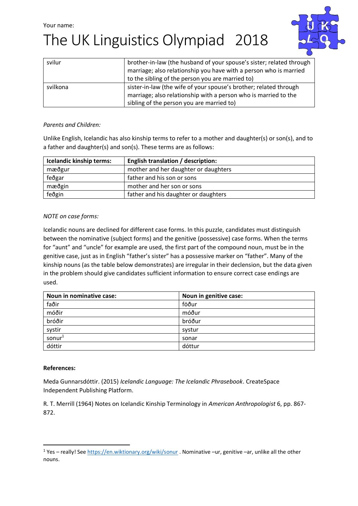# The UK Linguistics Olympiad 2018



| svilur   | brother-in-law (the husband of your spouse's sister; related through |
|----------|----------------------------------------------------------------------|
|          | marriage; also relationship you have with a person who is married    |
|          | to the sibling of the person you are married to)                     |
| svilkona | sister-in-law (the wife of your spouse's brother; related through    |
|          | marriage; also relationship with a person who is married to the      |
|          | sibling of the person you are married to)                            |

### *Parents and Children:*

Unlike English, Icelandic has also kinship terms to refer to a mother and daughter(s) or son(s), and to a father and daughter(s) and son(s). These terms are as follows:

| Icelandic kinship terms: | <b>English translation / description:</b> |
|--------------------------|-------------------------------------------|
| mæðgur                   | mother and her daughter or daughters      |
| feðgar                   | father and his son or sons                |
| mæðgin                   | mother and her son or sons                |
| feðgin                   | father and his daughter or daughters      |

### *NOTE on case forms:*

Icelandic nouns are declined for different case forms. In this puzzle, candidates must distinguish between the nominative (subject forms) and the genitive (possessive) case forms. When the terms for "aunt" and "uncle" for example are used, the first part of the compound noun, must be in the genitive case, just as in English "father's sister" has a possessive marker on "father". Many of the kinship nouns (as the table below demonstrates) are irregular in their declension, but the data given in the problem should give candidates sufficient information to ensure correct case endings are used.

| Noun in nominative case: | Noun in genitive case: |
|--------------------------|------------------------|
| faðir                    | föður                  |
| móðir                    | móður                  |
| bróðir                   | bróður                 |
| systir                   | systur                 |
| sonur <sup>1</sup>       | sonar                  |
| dóttir                   | dóttur                 |

### **References:**

1

Meda Gunnarsdóttir. (2015) *Icelandic Language: The Icelandic Phrasebook*. CreateSpace Independent Publishing Platform.

R. T. Merrill (1964) Notes on Icelandic Kinship Terminology in *American Anthropologist* 6, pp. 867- 872.

<sup>1</sup> Yes – really! Se[e https://en.wiktionary.org/wiki/sonur](https://en.wiktionary.org/wiki/sonur) . Nominative –ur, genitive –ar, unlike all the other nouns.